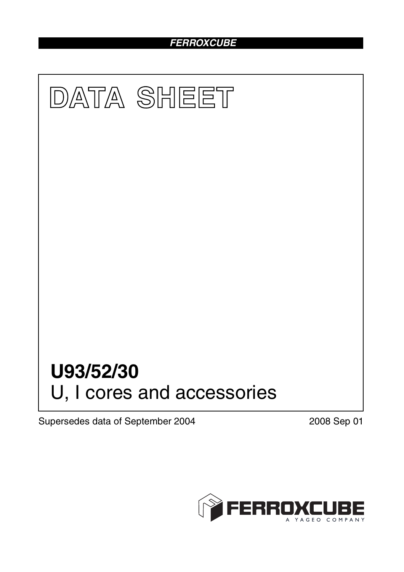## *FERROXCUBE*



Supersedes data of September 2004 2008 Sep 01

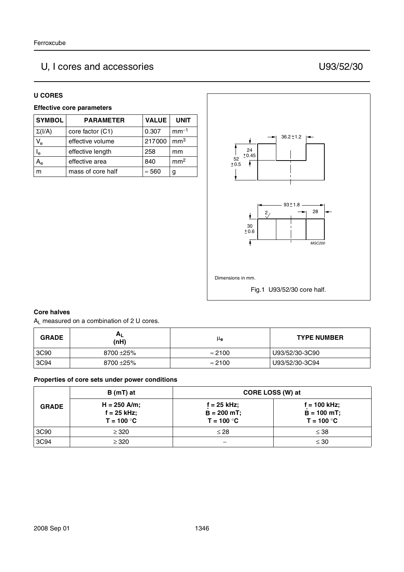# U, I cores and accessories U93/52/30

#### **U CORES**

#### **Effective core parameters**

| <b>SYMBOL</b>             | <b>PARAMETER</b>  | <b>VALUE</b>  | <b>UNIT</b>     |
|---------------------------|-------------------|---------------|-----------------|
| $\Sigma(I/A)$             | core factor (C1)  | 0.307         | $mm-1$          |
| $V_{\rm e}$               | effective volume  | 217000        | mm <sup>3</sup> |
| $\mathsf{I}_{\mathsf{e}}$ | effective length  | 258           | mm              |
| A <sub>e</sub>            | effective area    | 840           | mm <sup>2</sup> |
|                           | mass of core half | $\approx 560$ |                 |



#### **Core halves**

AL measured on a combination of 2 U cores.

| <b>GRADE</b> | $A_L$<br>(nH) | μe             | <b>TYPE NUMBER</b> |
|--------------|---------------|----------------|--------------------|
| 3C90         | 8700 ± 25%    | $\approx$ 2100 | U93/52/30-3C90     |
| 3C94         | 8700 ± 25%    | $\approx$ 2100 | U93/52/30-3C94     |

#### **Properties of core sets under power conditions**

| <b>GRADE</b> | $B(mT)$ at                                      | CORE LOSS (W) at                                |                                                  |
|--------------|-------------------------------------------------|-------------------------------------------------|--------------------------------------------------|
|              | $H = 250$ A/m;<br>$f = 25$ kHz;<br>$T = 100 °C$ | $f = 25$ kHz;<br>$B = 200 mT$ ;<br>$T = 100 °C$ | $f = 100$ kHz;<br>$B = 100 mT$ ;<br>$T = 100 °C$ |
| 3C90         | $\geq$ 320                                      | $\leq 28$                                       | $\leq 38$                                        |
| 3C94         | $\geq$ 320                                      |                                                 | $\leq 30$                                        |